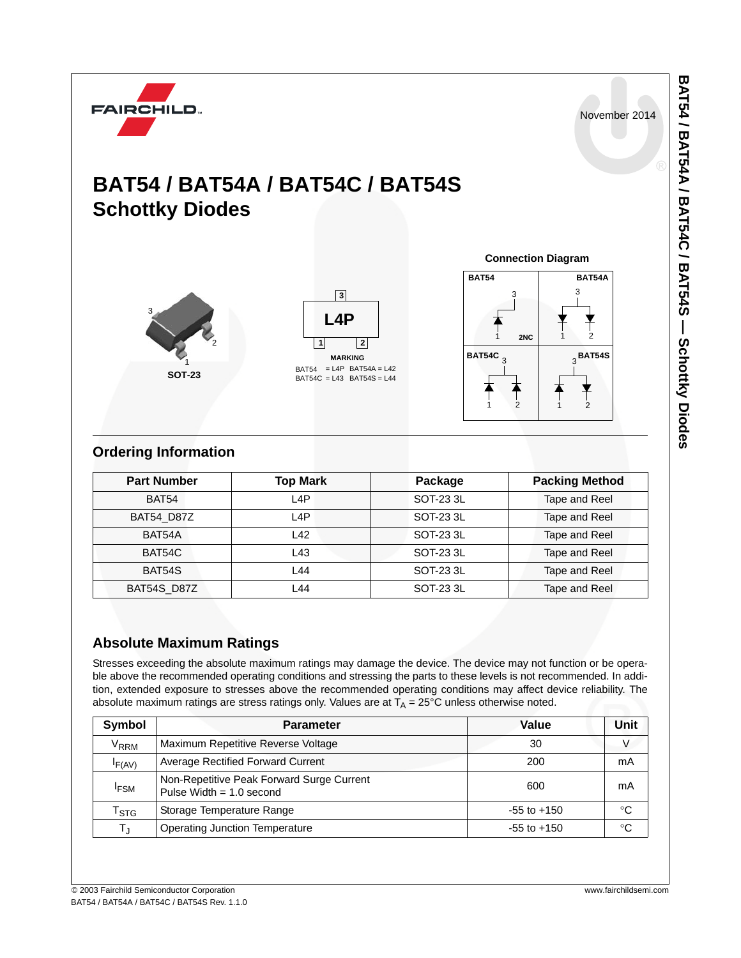November 2014



## **BAT54 / BAT54A / BAT54C / BAT54S Schottky Diodes**



<u>13|<br>| L4P<br>1| |2</u> **L4P** BAT54C = L43 BAT54S = L44 = L4P BAT54A = L42 **MARKING**



### **Ordering Information**

| <b>Part Number</b> | <b>Top Mark</b>  | Package   | <b>Packing Method</b> |
|--------------------|------------------|-----------|-----------------------|
| <b>BAT54</b>       | L <sub>4</sub> P | SOT-23 3L | Tape and Reel         |
| <b>BAT54 D87Z</b>  | L4P              | SOT-23 3L | Tape and Reel         |
| BAT54A             | L42              | SOT-23 3L | Tape and Reel         |
| BAT54C             | L43              | SOT-23 3L | Tape and Reel         |
| BAT54S             | L44              | SOT-23 3L | Tape and Reel         |
| BAT54S D87Z        | L44              | SOT-23 3L | Tape and Reel         |

## **Absolute Maximum Ratings**

Stresses exceeding the absolute maximum ratings may damage the device. The device may not function or be operable above the recommended operating conditions and stressing the parts to these levels is not recommended. In addition, extended exposure to stresses above the recommended operating conditions may affect device reliability. The absolute maximum ratings are stress ratings only. Values are at  $T_A = 25^{\circ}$ C unless otherwise noted.

| Symbol                      | <b>Parameter</b>                                                        | Value           | Unit |
|-----------------------------|-------------------------------------------------------------------------|-----------------|------|
| V <sub>RRM</sub>            | Maximum Repetitive Reverse Voltage                                      | 30              |      |
| IF(AV)                      | <b>Average Rectified Forward Current</b>                                | 200             | mA   |
| <sup>I</sup> FSM            | Non-Repetitive Peak Forward Surge Current<br>Pulse Width $= 1.0$ second | 600             | mA   |
| $\mathsf{r}_{\texttt{STG}}$ | Storage Temperature Range                                               | $-55$ to $+150$ | °C   |
| $T_{\text{J}}$              | <b>Operating Junction Temperature</b>                                   | $-55$ to $+150$ | °C   |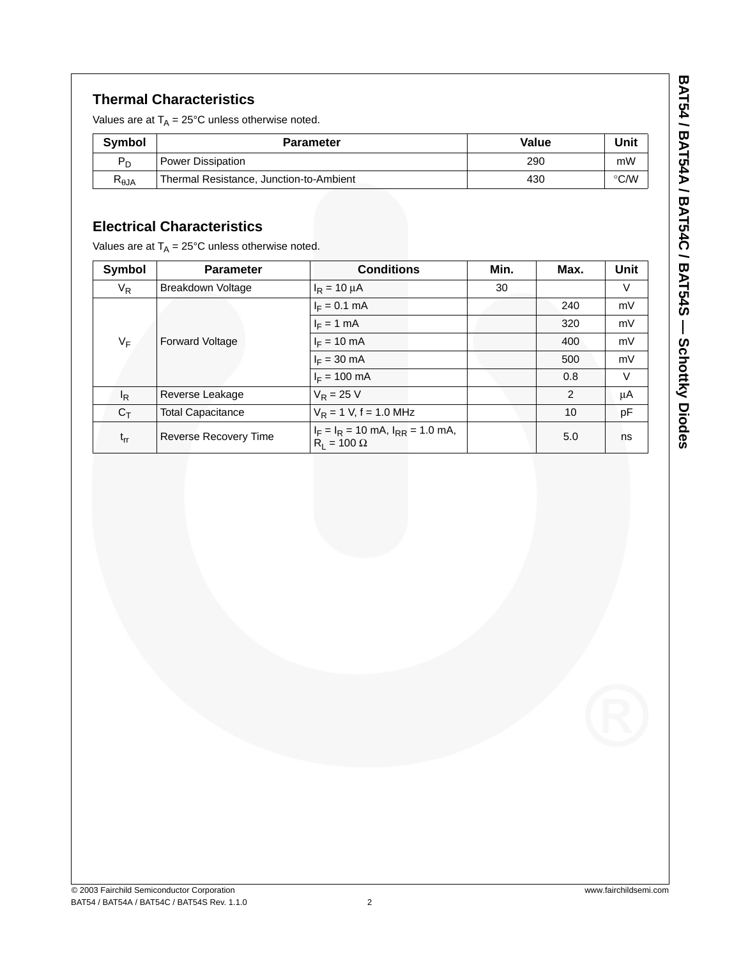### **Thermal Characteristics**

Values are at  $T_A = 25^{\circ}$ C unless otherwise noted.

| <b>Symbol</b>  | <b>Parameter</b>                        | Value | Unit          |
|----------------|-----------------------------------------|-------|---------------|
| $P_D$          | <b>Power Dissipation</b>                | 290   | mW            |
| $R_{\theta$ JA | Thermal Resistance, Junction-to-Ambient | 430   | $\degree$ C/W |

### **Electrical Characteristics**

Values are at  $T_A = 25^{\circ}$ C unless otherwise noted.

| Symbol         | <b>Parameter</b>         | <b>Conditions</b>                                             | Min. | Max. | Unit   |
|----------------|--------------------------|---------------------------------------------------------------|------|------|--------|
| $V_R$          | Breakdown Voltage        | $I_R = 10 \mu A$                                              | 30   |      | $\vee$ |
| VF             | <b>Forward Voltage</b>   | $I_F = 0.1$ mA                                                |      | 240  | mV     |
|                |                          | $I_F = 1$ mA                                                  |      | 320  | mV     |
|                |                          | $I_F = 10$ mA                                                 |      | 400  | mV     |
|                |                          | $I_F = 30$ mA                                                 |      | 500  | mV     |
|                |                          | $I_F = 100 \text{ mA}$                                        |      | 0.8  | $\vee$ |
| <sup>I</sup> R | Reverse Leakage          | $V_R = 25 V$                                                  |      | 2    | μA     |
| $C_T$          | <b>Total Capacitance</b> | $V_R$ = 1 V, f = 1.0 MHz                                      |      | 10   | рF     |
| $t_{rr}$       | Reverse Recovery Time    | $I_F = I_R = 10$ mA, $I_{RR} = 1.0$ mA,<br>$R_1 = 100 \Omega$ |      | 5.0  | ns     |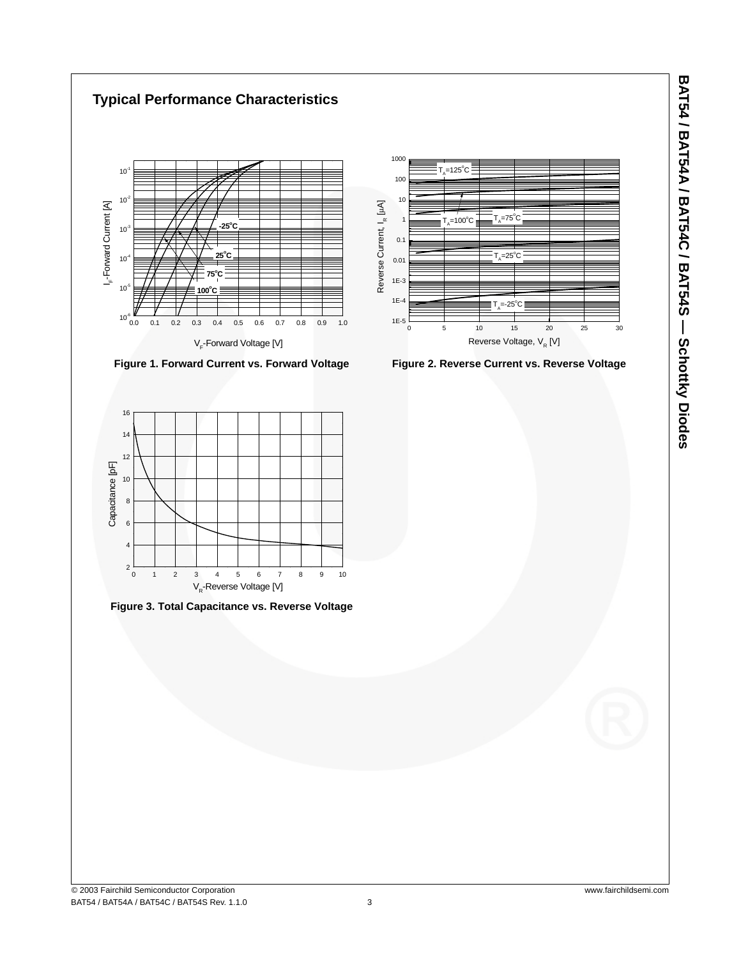

8<br>6<br>4<br>2

10

 $\epsilon$  $6\overline{6}$  $\overline{A}$  $\overline{2}$ 

**Figure 3. Total Capacitance vs. Reverse Voltage**

0 1 2 3 4 5 6 7 8 9 10

V R-Reverse Voltage [V]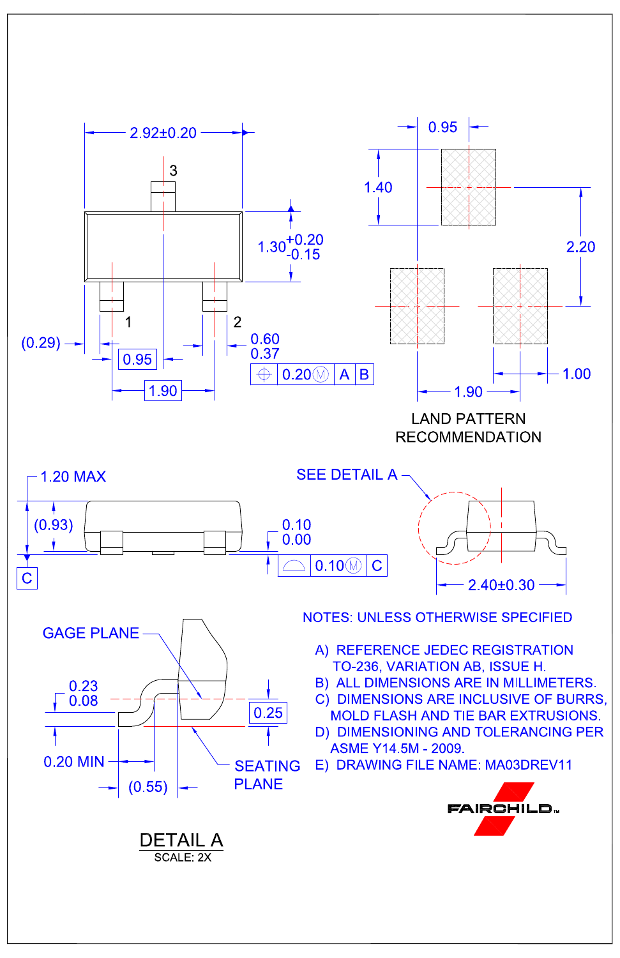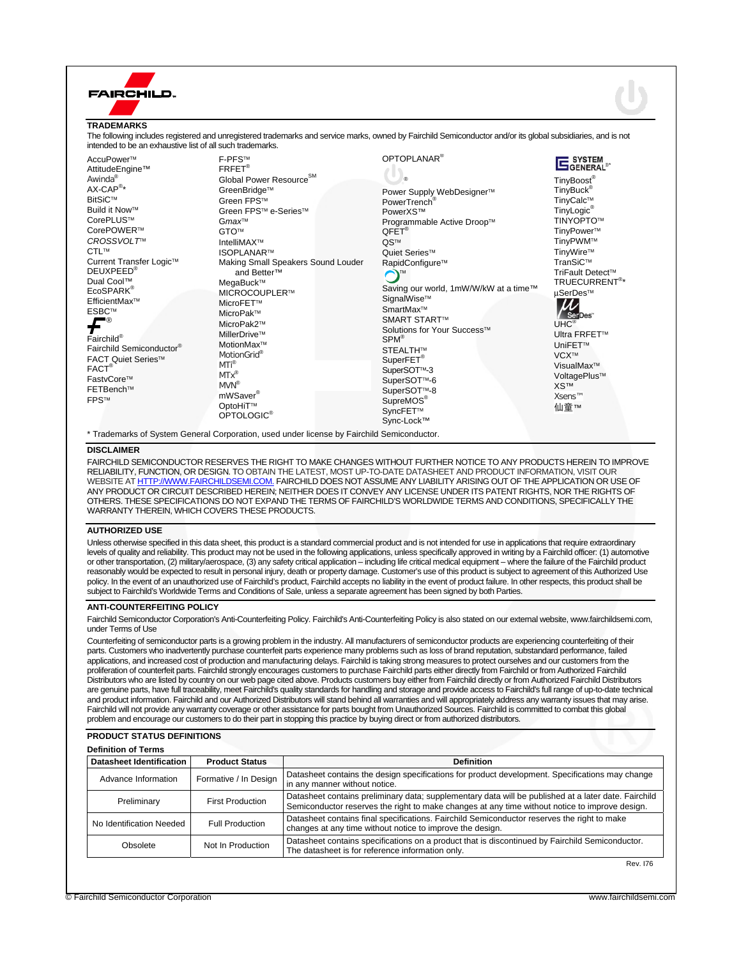

\* Trademarks of System General Corporation, used under license by Fairchild Semiconductor.

#### **DISCLAIMER**

FAIRCHILD SEMICONDUCTOR RESERVES THE RIGHT TO MAKE CHANGES WITHOUT FURTHER NOTICE TO ANY PRODUCTS HEREIN TO IMPROVE RELIABILITY, FUNCTION, OR DESIGN. TO OBTAIN THE LATEST, MOST UP-TO-DATE DATASHEET AND PRODUCT INFORMATION, VISIT OUR WEBSITE AT HTTP://WWW.FAIRCHILDSEMI.COM. FAIRCHILD DOES NOT ASSUME ANY LIABILITY ARISING OUT OF THE APPLICATION OR USE OF ANY PRODUCT OR CIRCUIT DESCRIBED HEREIN; NEITHER DOES IT CONVEY ANY LICENSE UNDER ITS PATENT RIGHTS, NOR THE RIGHTS OF OTHERS. THESE SPECIFICATIONS DO NOT EXPAND THE TERMS OF FAIRCHILD'S WORLDWIDE TERMS AND CONDITIONS, SPECIFICALLY THE WARRANTY THEREIN, WHICH COVERS THESE PRODUCTS.

#### **AUTHORIZED USE**

Unless otherwise specified in this data sheet, this product is a standard commercial product and is not intended for use in applications that require extraordinary levels of quality and reliability. This product may not be used in the following applications, unless specifically approved in writing by a Fairchild officer: (1) automotive or other transportation, (2) military/aerospace, (3) any safety critical application – including life critical medical equipment – where the failure of the Fairchild product reasonably would be expected to result in personal injury, death or property damage. Customer's use of this product is subject to agreement of this Authorized Use policy. In the event of an unauthorized use of Fairchild's product, Fairchild accepts no liability in the event of product failure. In other respects, this product shall be subject to Fairchild's Worldwide Terms and Conditions of Sale, unless a separate agreement has been signed by both Parties.

#### **ANTI-COUNTERFEITING POLICY**

Fairchild Semiconductor Corporation's Anti-Counterfeiting Policy. Fairchild's Anti-Counterfeiting Policy is also stated on our external website, www.fairchildsemi.com, under Terms of Use

Counterfeiting of semiconductor parts is a growing problem in the industry. All manufacturers of semiconductor products are experiencing counterfeiting of their parts. Customers who inadvertently purchase counterfeit parts experience many problems such as loss of brand reputation, substandard performance, failed applications, and increased cost of production and manufacturing delays. Fairchild is taking strong measures to protect ourselves and our customers from the proliferation of counterfeit parts. Fairchild strongly encourages customers to purchase Fairchild parts either directly from Fairchild or from Authorized Fairchild Distributors who are listed by country on our web page cited above. Products customers buy either from Fairchild directly or from Authorized Fairchild Distributors are genuine parts, have full traceability, meet Fairchild's quality standards for handling and storage and provide access to Fairchild's full range of up-to-date technical and product information. Fairchild and our Authorized Distributors will stand behind all warranties and will appropriately address any warranty issues that may arise. Fairchild will not provide any warranty coverage or other assistance for parts bought from Unauthorized Sources. Fairchild is committed to combat this global problem and encourage our customers to do their part in stopping this practice by buying direct or from authorized distributors.

### **PRODUCT STATUS DEFINITIONS**

| <b>Definition of Terms</b>      |                         |                                                                                                                                                                                                        |  |
|---------------------------------|-------------------------|--------------------------------------------------------------------------------------------------------------------------------------------------------------------------------------------------------|--|
| <b>Datasheet Identification</b> | <b>Product Status</b>   | <b>Definition</b>                                                                                                                                                                                      |  |
| Advance Information             | Formative / In Design   | Datasheet contains the design specifications for product development. Specifications may change<br>in any manner without notice.                                                                       |  |
| Preliminary                     | <b>First Production</b> | Datasheet contains preliminary data; supplementary data will be published at a later date. Fairchild<br>Semiconductor reserves the right to make changes at any time without notice to improve design. |  |
| No Identification Needed        | <b>Full Production</b>  | Datasheet contains final specifications. Fairchild Semiconductor reserves the right to make<br>changes at any time without notice to improve the design.                                               |  |
| Obsolete                        | Not In Production       | Datasheet contains specifications on a product that is discontinued by Fairchild Semiconductor.<br>The datasheet is for reference information only.                                                    |  |

Rev. I76